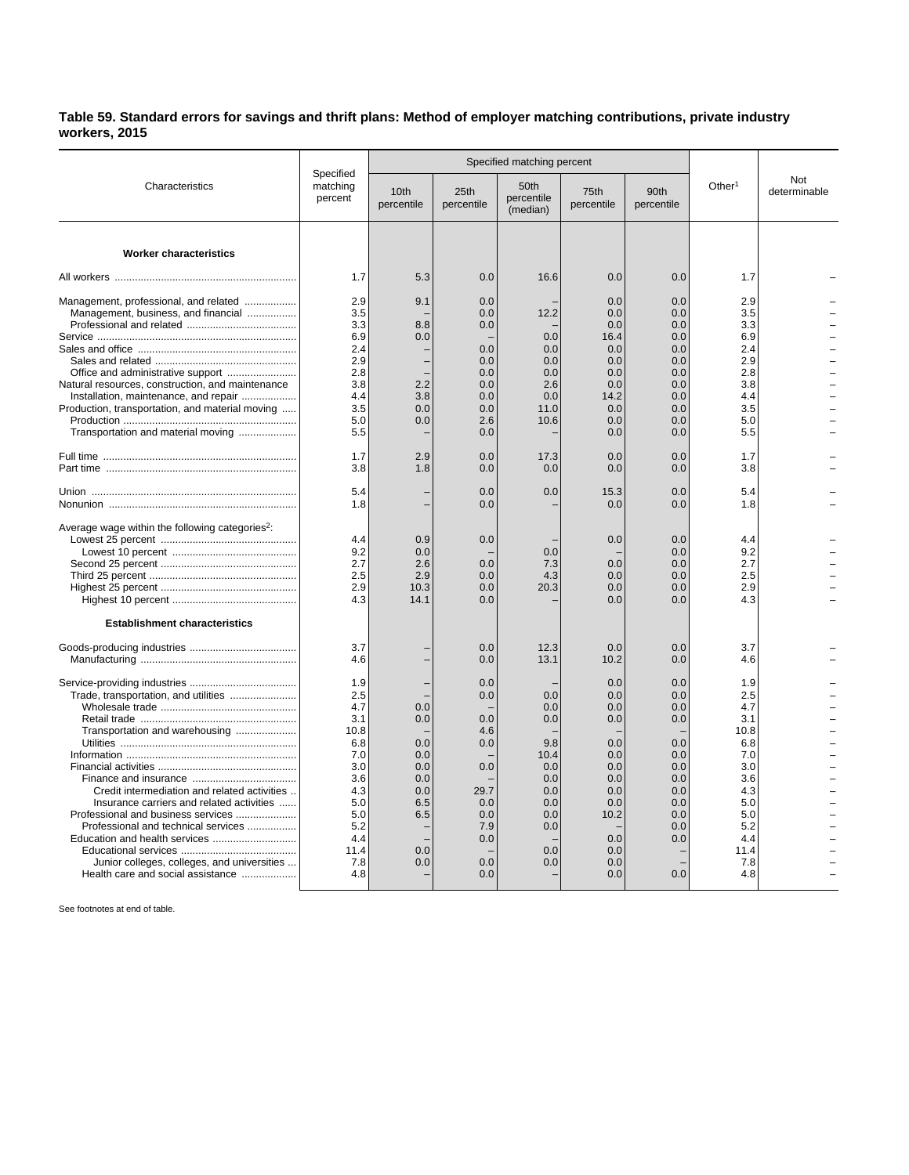## **Table 59. Standard errors for savings and thrift plans: Method of employer matching contributions, private industry workers, 2015**

| Characteristics                                                      | Specified<br>matching<br>percent |                    | Specified matching percent |                                |                    |                    |                    |                     |
|----------------------------------------------------------------------|----------------------------------|--------------------|----------------------------|--------------------------------|--------------------|--------------------|--------------------|---------------------|
|                                                                      |                                  | 10th<br>percentile | 25th<br>percentile         | 50th<br>percentile<br>(median) | 75th<br>percentile | 90th<br>percentile | Other <sup>1</sup> | Not<br>determinable |
| <b>Worker characteristics</b>                                        |                                  |                    |                            |                                |                    |                    |                    |                     |
|                                                                      |                                  |                    |                            |                                |                    |                    |                    |                     |
|                                                                      | 1.7                              | 5.3                | 0.0                        | 16.6                           | 0.0                | 0.0                | 1.7                |                     |
| Management, professional, and related                                | 2.9                              | 9.1                | 0.0                        |                                | 0.0                | 0.0                | 2.9                |                     |
| Management, business, and financial                                  | 3.5                              |                    | 0.0                        | 12.2                           | 0.0                | 0.0                | 3.5                |                     |
|                                                                      | 3.3                              | 8.8                | 0.0                        |                                | 0.0                | 0.0                | 3.3                |                     |
|                                                                      | 6.9                              | 0.0                |                            | 0.0                            | 16.4               | 0.0                | 6.9                |                     |
|                                                                      | 2.4                              |                    | 0.0                        | 0.0                            | 0.0                | 0.0                | 2.4                |                     |
|                                                                      | 2.9                              |                    | 0.0                        | 0.0                            | 0.0                | 0.0                | 2.9                |                     |
|                                                                      | 2.8                              |                    | 0.0                        | 0.0                            | 0.0                | 0.0                | 2.8                |                     |
| Natural resources, construction, and maintenance                     | 3.8                              | 2.2                | 0.0                        | 2.6                            | 0.0                | 0.0                | 3.8                |                     |
| Installation, maintenance, and repair                                | 4.4                              | 3.8                | 0.0                        | 0.0                            | 14.2               | 0.0                | 4.4                |                     |
| Production, transportation, and material moving                      | 3.5<br>5.0                       | 0.0                | 0.0                        | 11.0                           | 0.0                | 0.0                | 3.5                |                     |
|                                                                      | 5.5                              | 0.0                | 2.6<br>0.0                 | 10.6                           | 0.0<br>0.0         | 0.0<br>0.0         | 5.0<br>5.5         |                     |
| Transportation and material moving                                   |                                  |                    |                            |                                |                    |                    |                    |                     |
|                                                                      | 1.7                              | 2.9                | 0.0                        | 17.3                           | 0.0                | 0.0                | 1.7                |                     |
|                                                                      | 3.8                              | 1.8                | 0.0                        | 0.0                            | 0.0                | 0.0                | 3.8                |                     |
|                                                                      | 5.4                              |                    | 0.0                        | 0.0                            | 15.3               | 0.0                | 5.4                |                     |
|                                                                      | 1.8                              |                    | 0.0                        |                                | 0.0                | 0.0                | 1.8                |                     |
|                                                                      |                                  |                    |                            |                                |                    |                    |                    |                     |
| Average wage within the following categories <sup>2</sup> :          | 4.4                              | 0.9                | 0.0                        |                                | 0.0                | 0.0                | 4.4                |                     |
|                                                                      | 9.2                              | 0.0                |                            | 0.0                            |                    | 0.0                | 9.2                |                     |
|                                                                      | 2.7                              | 2.6                | 0.0                        | 7.3                            | 0.0                | 0.0                | 2.7                |                     |
|                                                                      | 2.5                              | 2.9                | 0.0                        | 4.3                            | 0.0                | 0.0                | 2.5                |                     |
|                                                                      | 2.9                              | 10.3               | 0.0                        | 20.3                           | 0.0                | 0.0                | 2.9                |                     |
|                                                                      | 4.3                              | 14.1               | 0.0                        |                                | 0.0                | 0.0                | 4.3                |                     |
| <b>Establishment characteristics</b>                                 |                                  |                    |                            |                                |                    |                    |                    |                     |
|                                                                      | 3.7                              |                    | 0.0                        | 12.3                           | 0.0                | 0.0                | 3.7                |                     |
|                                                                      | 4.6                              |                    | 0.0                        | 13.1                           | 10.2               | 0.0                | 4.6                |                     |
|                                                                      | 1.9                              |                    | 0.0                        |                                | 0.0                | 0.0                | 1.9                |                     |
| Trade, transportation, and utilities                                 | 2.5                              |                    | 0.0                        | 0.0                            | 0.0                | 0.0                | 2.5                |                     |
|                                                                      | 4.7                              | 0.0                |                            | 0.0                            | 0.0                | 0.0                | 4.7                |                     |
|                                                                      | 3.1                              | 0.0                | 0.0                        | 0.0                            | 0.0                | 0.0                | 3.1                |                     |
| Transportation and warehousing                                       | 10.8                             |                    | 4.6                        |                                |                    |                    | 10.8               |                     |
|                                                                      | 6.8                              | 0.0                | 0.0                        | 9.8                            | 0.0                | 0.0                | 6.8                |                     |
|                                                                      | 7.0                              | 0.0                |                            | 10.4                           | 0.0                | 0.0                | 7.0                |                     |
|                                                                      | 3.0                              | 0.0                | 0.0                        | 0.0                            | 0.0                | 0.0                | 3.0                |                     |
|                                                                      | 3.6                              | 0.0                |                            | 0.0                            | 0.0                | 0.0                | 3.6                |                     |
| Credit intermediation and related activities                         | 4.3                              | 0.0                | 29.7                       | 0.0                            | 0.0                | 0.0                | 4.3                |                     |
| Insurance carriers and related activities                            | 5.0                              | 6.5                | 0.0                        | 0.0                            | 0.0                | 0.0                | 5.0                |                     |
| Professional and business services                                   | 5.0<br>5.2                       | 6.5                | 0.0                        | 0.0                            | 10.2               | 0.0<br>0.0         | 5.0                |                     |
| Professional and technical services<br>Education and health services | 4.4                              |                    | 7.9<br>0.0                 | 0.0                            | 0.0                | 0.0                | 5.2<br>4.4         |                     |
|                                                                      | 11.4                             | 0.0                |                            | 0.0                            | 0.0                |                    | 11.4               |                     |
| Junior colleges, colleges, and universities                          | 7.8                              | 0.0                | 0.0                        | 0.0                            | 0.0                |                    | 7.8                |                     |
| Health care and social assistance                                    | 4.8                              |                    | 0.0                        |                                | 0.0                | 0.0                | 4.8                |                     |
|                                                                      |                                  |                    |                            |                                |                    |                    |                    |                     |

See footnotes at end of table.